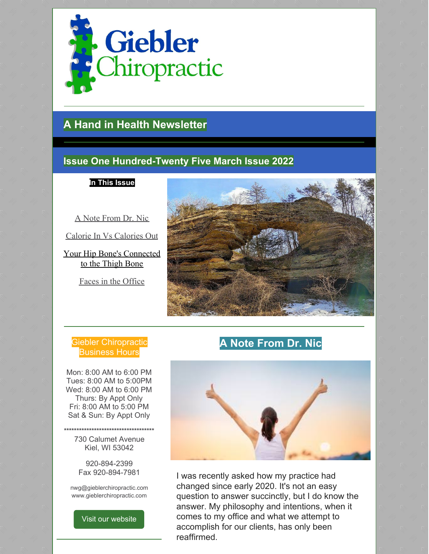

# **A Hand in Health Newsletter**

# **Issue One Hundred-Twenty Five March Issue 2022**

**In This Issue**

A Note From Dr. Nic

Calorie In Vs Calories Out

Your Hip Bone's Connected to the Thigh Bone

Faces in the Office



## Giebler Chiropractic **Business Hours**

Mon: 8:00 AM to 6:00 PM Tues: 8:00 AM to 5:00PM Wed: 8:00 AM to 6:00 PM Thurs: By Appt Only Fri: 8:00 AM to 5:00 PM Sat & Sun: By Appt Only

**\*\*\*\*\*\*\*\*\*\*\*\*\*\*\*\*\*\*\*\*\*\*\*\*\*\*\*\*\*\*\*\*\*\*\*\*** 730 Calumet Avenue Kiel, WI 53042

> 920-894-2399 Fax 920-894-7981

nwg@gieblerchiropractic.com www.gieblerchiropractic.com

Visit our [website](http://www.gieblerchiropractic.com)

# **A Note From Dr. Nic**



I was recently asked how my practice had changed since early 2020. It's not an easy question to answer succinctly, but I do know the answer. My philosophy and intentions, when it comes to my office and what we attempt to accomplish for our clients, has only been reaffirmed.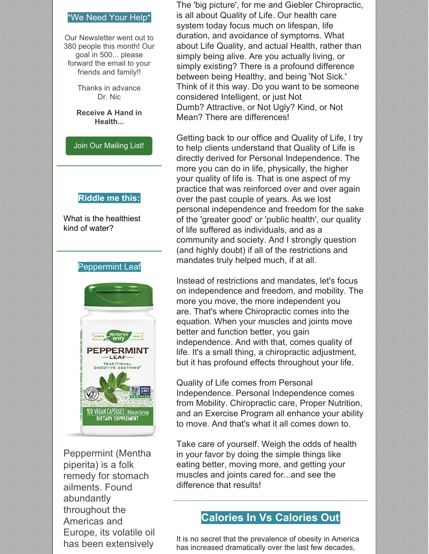#### \*We Need Your Help\*

Our Newsletter went out to 380 people this month! Our goal in 500... please forward the email to your friends and family!!

> Thanks in advance Dr. Nic

**Receive A Hand in Health...**

Join Our [Mailing](http://www.gieblerchiropractic.com/newsletter/) List!

#### **Riddle me this:**

What is the healthiest kind of water?

#### Peppermint Leaf



Peppermint (Mentha piperita) is a folk remedy for stomach ailments. Found abundantly throughout the Americas and Europe, its volatile oil has been extensively

The 'big picture', for me and Giebler Chiropractic, is all about Quality of Life. Our health care system today focus much on lifespan, life duration, and avoidance of symptoms. What about Life Quality, and actual Health, rather than simply being alive. Are you actually living, or simply existing? There is a profound difference between being Healthy, and being 'Not Sick.' Think of it this way. Do you want to be someone considered Intelligent, or just Not Dumb? Attractive, or Not Ugly? Kind, or Not Mean? There are differences!

Getting back to our office and Quality of Life, I try to help clients understand that Quality of Life is directly derived for Personal Independence. The more you can do in life, physically, the higher your quality of life is. That is one aspect of my practice that was reinforced over and over again over the past couple of years. As we lost personal independence and freedom for the sake of the 'greater good' or 'public health', our quality of life suffered as individuals, and as a community and society. And I strongly question (and highly doubt) if all of the restrictions and mandates truly helped much, if at all.

Instead of restrictions and mandates, let's focus on independence and freedom, and mobility. The more you move, the more independent you are. That's where Chiropractic comes into the equation. When your muscles and joints move better and function better, you gain independence. And with that, comes quality of life. It's a small thing, a chiropractic adjustment, but it has profound effects throughout your life.

Quality of Life comes from Personal Independence. Personal Independence comes from Mobility. Chiropractic care, Proper Nutrition, and an Exercise Program all enhance your ability to move. And that's what it all comes down to.

Take care of yourself. Weigh the odds of health in your favor by doing the simple things like eating better, moving more, and getting your muscles and joints cared for...and see the difference that results!

## **Calories In Vs Calories Out**

It is no secret that the prevalence of obesity in America has increased dramatically over the last few decades,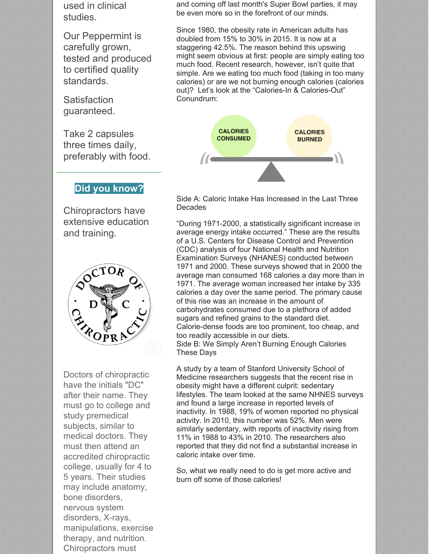used in clinical studies.

Our Peppermint is carefully grown, tested and produced to certified quality standards.

**Satisfaction** guaranteed.

Take 2 capsules three times daily, preferably with food.

### **Did you know?**

Chiropractors have extensive education and training.



Doctors of chiropractic have the initials "DC" after their name. They must go to college and study premedical subjects, similar to medical doctors. They must then attend an accredited chiropractic college, usually for 4 to 5 years. Their studies may include anatomy, bone disorders, nervous system disorders, X-rays, manipulations, exercise therapy, and nutrition. Chiropractors must

and coming off last month's Super Bowl parties, it may be even more so in the forefront of our minds.

Since 1980, the obesity rate in American adults has doubled from 15% to 30% in 2015. It is now at a staggering 42.5%. The reason behind this upswing might seem obvious at first: people are simply eating too much food. Recent research, however, isn't quite that simple. Are we eating too much food (taking in too many calories) or are we not burning enough calories (calories out)? Let's look at the "Calories-In & Calories-Out" Conundrum:



Side A: Caloric Intake Has Increased in the Last Three **Decades** 

"During 1971-2000, a statistically significant increase in average energy intake occurred." These are the results of a U.S. Centers for Disease Control and Prevention (CDC) analysis of four National Health and Nutrition Examination Surveys (NHANES) conducted between 1971 and 2000. These surveys showed that in 2000 the average man consumed 168 calories a day more than in 1971. The average woman increased her intake by 335 calories a day over the same period. The primary cause of this rise was an increase in the amount of carbohydrates consumed due to a plethora of added sugars and refined grains to the standard diet. Calorie-dense foods are too prominent, too cheap, and too readily accessible in our diets. Side B: We Simply Aren't Burning Enough Calories These Days

A study by a team of Stanford University School of Medicine researchers suggests that the recent rise in obesity might have a different culprit: sedentary lifestyles. The team looked at the same NHNES surveys and found a large increase in reported levels of inactivity. In 1988, 19% of women reported no physical activity. In 2010, this number was 52%. Men were similarly sedentary, with reports of inactivity rising from 11% in 1988 to 43% in 2010. The researchers also reported that they did not find a substantial increase in caloric intake over time.

So, what we really need to do is get more active and burn off some of those calories!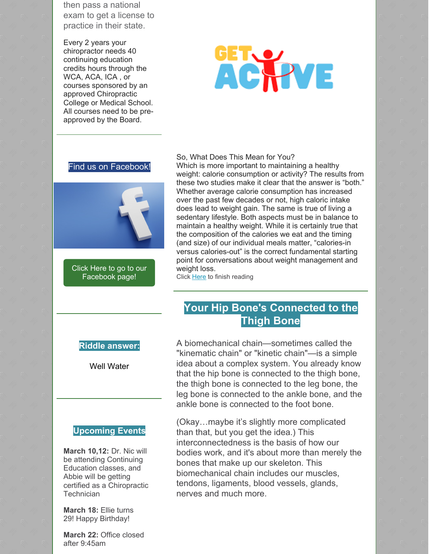then pass a national exam to get a license to practice in their state.

Every 2 years your chiropractor needs 40 continuing education credits hours through the WCA, ACA, ICA , or courses sponsored by an approved Chiropractic College or Medical School. All courses need to be preapproved by the Board.

# **ACHVE**

#### Find us on Facebook!



Click Here to go to our [Facebook](https://www.facebook.com/gieblerchiro/) page!

#### So, What Does This Mean for You?

Which is more important to maintaining a healthy weight: calorie consumption or activity? The results from these two studies make it clear that the answer is "both." Whether average calorie consumption has increased over the past few decades or not, high caloric intake does lead to weight gain. The same is true of living a sedentary lifestyle. Both aspects must be in balance to maintain a healthy weight. While it is certainly true that the composition of the calories we eat and the timing (and size) of our individual meals matter, "calories-in versus calories-out" is the correct fundamental starting point for conversations about weight management and weight loss.

Click [Here](https://gieblerchiropractic.blogspot.com/2022/03/calories-in-vs-calories-out.html) to finish reading

# **Your Hip Bone's Connected to the Thigh Bone**

#### **Riddle answer:**

Well Water

#### **Upcoming Events**

**March 10,12:** Dr. Nic will be attending Continuing Education classes, and Abbie will be getting certified as a Chiropractic **Technician** 

**March 18:** Ellie turns 29! Happy Birthday!

**March 22:** Office closed after 9:45am

A biomechanical chain—sometimes called the "kinematic chain" or "kinetic chain"—is a simple idea about a complex system. You already know that the hip bone is connected to the thigh bone, the thigh bone is connected to the leg bone, the leg bone is connected to the ankle bone, and the ankle bone is connected to the foot bone.

(Okay…maybe it's slightly more complicated than that, but you get the idea.) This interconnectedness is the basis of how our bodies work, and it's about more than merely the bones that make up our skeleton. This biomechanical chain includes our muscles, tendons, ligaments, blood vessels, glands, nerves and much more.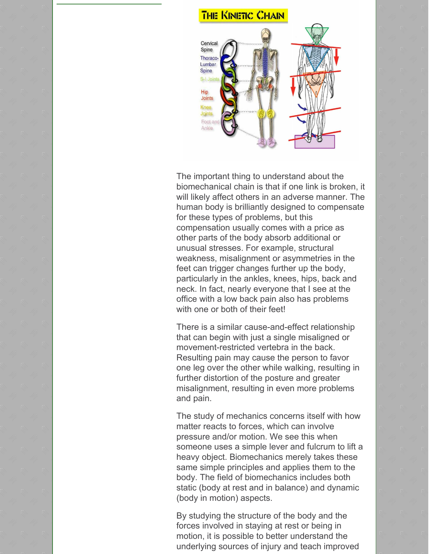## **THE KINETIC CHAIN**



The important thing to understand about the biomechanical chain is that if one link is broken, it will likely affect others in an adverse manner. The human body is brilliantly designed to compensate for these types of problems, but this compensation usually comes with a price as other parts of the body absorb additional or unusual stresses. For example, structural weakness, misalignment or asymmetries in the feet can trigger changes further up the body, particularly in the ankles, knees, hips, back and neck. In fact, nearly everyone that I see at the office with a low back pain also has problems with one or both of their feet!

There is a similar cause-and-effect relationship that can begin with just a single misaligned or movement-restricted vertebra in the back. Resulting pain may cause the person to favor one leg over the other while walking, resulting in further distortion of the posture and greater misalignment, resulting in even more problems and pain.

The study of mechanics concerns itself with how matter reacts to forces, which can involve pressure and/or motion. We see this when someone uses a simple lever and fulcrum to lift a heavy object. Biomechanics merely takes these same simple principles and applies them to the body. The field of biomechanics includes both static (body at rest and in balance) and dynamic (body in motion) aspects.

By studying the structure of the body and the forces involved in staying at rest or being in motion, it is possible to better understand the underlying sources of injury and teach improved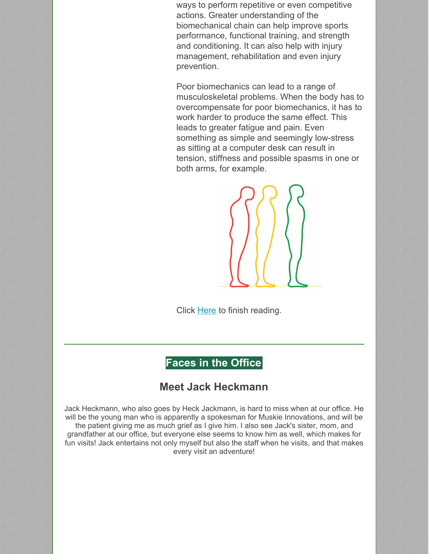ways to perform repetitive or even competitive actions. Greater understanding of the biomechanical chain can help improve sports performance, functional training, and strength and conditioning. It can also help with injury management, rehabilitation and even injury prevention.

Poor biomechanics can lead to a range of musculoskeletal problems. When the body has to overcompensate for poor biomechanics, it has to work harder to produce the same effect. This leads to greater fatigue and pain. Even something as simple and seemingly low-stress as sitting at a computer desk can result in tension, stiffness and possible spasms in one or both arms, for example.



Click [Here](https://gieblerchiropractic.blogspot.com/2022/03/your-hip-bones-connected-to-thigh-bone.html) to finish reading.

# **Faces in the Office**

## **Meet Jack Heckmann**

Jack Heckmann, who also goes by Heck Jackmann, is hard to miss when at our office. He will be the young man who is apparently a spokesman for Muskie Innovations, and will be the patient giving me as much grief as I give him. I also see Jack's sister, mom, and grandfather at our office, but everyone else seems to know him as well, which makes for fun visits! Jack entertains not only myself but also the staff when he visits, and that makes every visit an adventure!